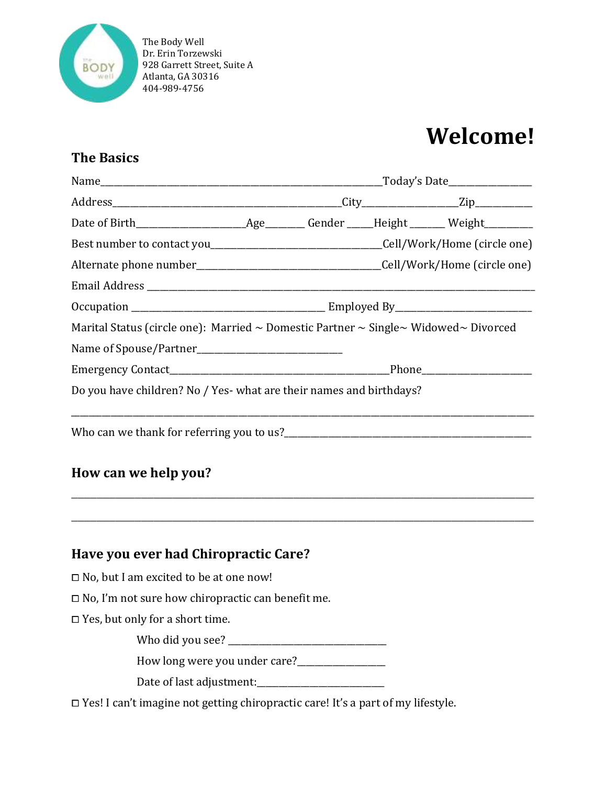

# **Welcome!**

### **The Basics**

| Marital Status (circle one): Married $\sim$ Domestic Partner $\sim$ Single $\sim$ Widowed $\sim$ Divorced |  |  |
|-----------------------------------------------------------------------------------------------------------|--|--|
|                                                                                                           |  |  |
|                                                                                                           |  |  |
| Do you have children? No / Yes- what are their names and birthdays?                                       |  |  |
|                                                                                                           |  |  |

\_\_\_\_\_\_\_\_\_\_\_\_\_\_\_\_\_\_\_\_\_\_\_\_\_\_\_\_\_\_\_\_\_\_\_\_\_\_\_\_\_\_\_\_\_\_\_\_\_\_\_\_\_\_\_\_\_\_\_\_\_\_\_\_\_\_\_\_\_\_\_\_\_

\_\_\_\_\_\_\_\_\_\_\_\_\_\_\_\_\_\_\_\_\_\_\_\_\_\_\_\_\_\_\_\_\_\_\_\_\_\_\_\_\_\_\_\_\_\_\_\_\_\_\_\_\_\_\_\_\_\_\_\_\_\_\_\_\_\_\_\_\_\_\_\_\_

## **How can we help you?**

**Have you ever had Chiropractic Care?** ⧠ No, but I am excited to be at one now!

⧠ No, I'm not sure how chiropractic can benefit me.

□ Yes, but only for a short time.

Who did you see? \_\_\_\_\_\_\_\_\_\_\_\_\_\_\_\_\_\_\_\_\_\_\_\_\_\_\_\_\_\_\_\_\_\_\_\_

How long were you under care?\_\_\_\_\_\_\_\_\_\_\_\_\_\_\_\_\_\_\_\_

Date of last adjustment:\_\_\_\_\_\_\_\_\_\_\_\_\_\_\_\_\_\_\_\_\_\_\_\_\_\_\_\_\_

⧠ Yes! I can't imagine not getting chiropractic care! It's a part of my lifestyle.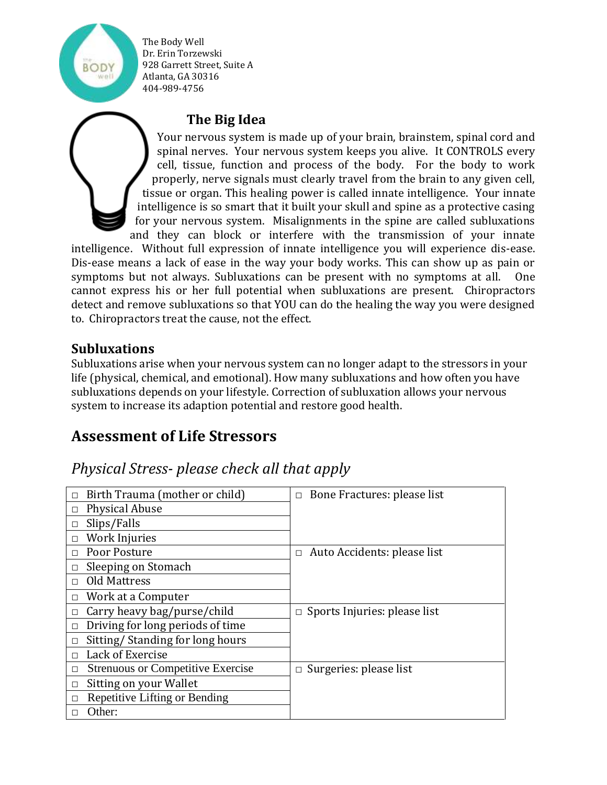### **The Big Idea**

Your nervous system is made up of your brain, brainstem, spinal cord and spinal nerves. Your nervous system keeps you alive. It CONTROLS every cell, tissue, function and process of the body. For the body to work properly, nerve signals must clearly travel from the brain to any given cell, tissue or organ. This healing power is called innate intelligence. Your innate intelligence is so smart that it built your skull and spine as a protective casing for your nervous system. Misalignments in the spine are called subluxations and they can block or interfere with the transmission of your innate

intelligence. Without full expression of innate intelligence you will experience dis-ease. Dis-ease means a lack of ease in the way your body works. This can show up as pain or symptoms but not always. Subluxations can be present with no symptoms at all. One cannot express his or her full potential when subluxations are present. Chiropractors detect and remove subluxations so that YOU can do the healing the way you were designed to. Chiropractors treat the cause, not the effect.

#### **Subluxations**

Subluxations arise when your nervous system can no longer adapt to the stressors in your life (physical, chemical, and emotional). How many subluxations and how often you have subluxations depends on your lifestyle. Correction of subluxation allows your nervous system to increase its adaption potential and restore good health.

### **Assessment of Life Stressors**

## *Physical Stress- please check all that apply*

| Birth Trauma (mother or child)<br>$\Box$           | $\Box$ Bone Fractures: please list     |
|----------------------------------------------------|----------------------------------------|
| <b>Physical Abuse</b><br>$\Box$                    |                                        |
| Slips/Falls<br>$\Box$                              |                                        |
| Work Injuries<br>$\Box$                            |                                        |
| Poor Posture<br>$\Box$                             | Auto Accidents: please list<br>$\Box$  |
| Sleeping on Stomach                                |                                        |
| <b>Old Mattress</b><br>$\Box$                      |                                        |
| Work at a Computer<br>$\Box$                       |                                        |
| Carry heavy bag/purse/child<br>П                   | Sports Injuries: please list<br>$\Box$ |
| Driving for long periods of time<br>П              |                                        |
| Sitting/Standing for long hours<br>$\Box$          |                                        |
| Lack of Exercise<br>$\Box$                         |                                        |
| <b>Strenuous or Competitive Exercise</b><br>$\Box$ | Surgeries: please list<br>$\Box$       |
| Sitting on your Wallet<br>$\Box$                   |                                        |
| Repetitive Lifting or Bending<br>П                 |                                        |
| Other:                                             |                                        |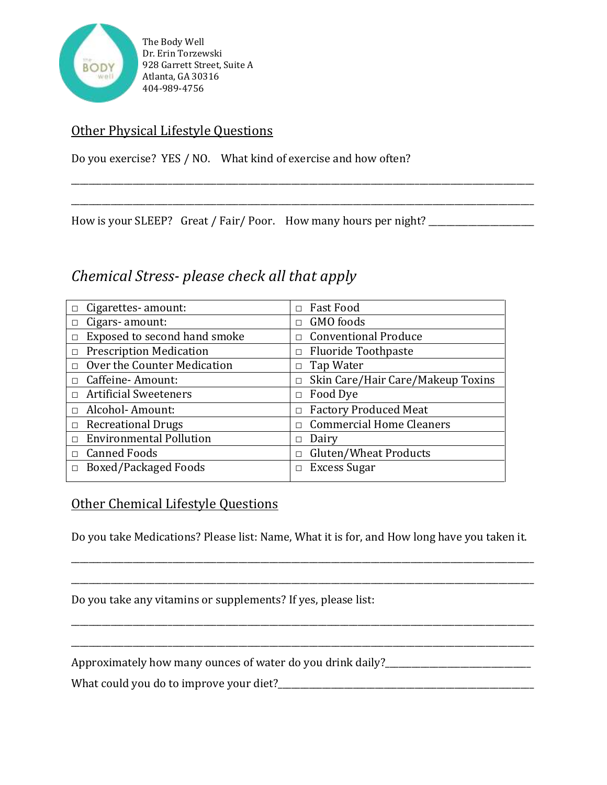

#### Other Physical Lifestyle Questions

Do you exercise? YES / NO. What kind of exercise and how often?

How is your SLEEP? Great / Fair/ Poor. How many hours per night? \_\_\_\_\_\_\_\_\_\_\_\_\_\_\_

### *Chemical Stress- please check all that apply*

| $\Box$ Cigarettes-amount:              | $\Box$ Fast Food                         |
|----------------------------------------|------------------------------------------|
| $\Box$ Cigars- amount:                 | $\Box$ GMO foods                         |
| Exposed to second hand smoke<br>$\Box$ | □ Conventional Produce                   |
| $\Box$ Prescription Medication         | $\Box$ Fluoride Toothpaste               |
| $\Box$ Over the Counter Medication     | $\Box$ Tap Water                         |
| $\Box$ Caffeine-Amount:                | $\Box$ Skin Care/Hair Care/Makeup Toxins |
| $\Box$ Artificial Sweeteners           | $\Box$ Food Dye                          |
| □ Alcohol- Amount:                     | $\Box$ Factory Produced Meat             |
| $\Box$ Recreational Drugs              | $\Box$ Commercial Home Cleaners          |
| $\Box$ Environmental Pollution         | Dairy<br>П                               |
| $\Box$ Canned Foods                    | Gluten/Wheat Products<br>П.              |
| <b>Boxed/Packaged Foods</b><br>П       | Excess Sugar<br>п                        |

\_\_\_\_\_\_\_\_\_\_\_\_\_\_\_\_\_\_\_\_\_\_\_\_\_\_\_\_\_\_\_\_\_\_\_\_\_\_\_\_\_\_\_\_\_\_\_\_\_\_\_\_\_\_\_\_\_\_\_\_\_\_\_\_\_\_\_\_\_\_\_\_\_\_\_\_\_\_\_\_\_\_\_\_\_\_\_\_\_\_\_\_\_\_\_\_\_\_\_\_\_\_\_\_\_

\_\_\_\_\_\_\_\_\_\_\_\_\_\_\_\_\_\_\_\_\_\_\_\_\_\_\_\_\_\_\_\_\_\_\_\_\_\_\_\_\_\_\_\_\_\_\_\_\_\_\_\_\_\_\_\_\_\_\_\_\_\_\_\_\_\_\_\_\_\_\_\_\_\_\_\_\_\_\_\_\_\_\_\_\_\_\_\_\_\_\_\_\_\_\_\_\_\_\_\_\_\_\_\_\_

### Other Chemical Lifestyle Questions

Do you take Medications? Please list: Name, What it is for, and How long have you taken it.

\_\_\_\_\_\_\_\_\_\_\_\_\_\_\_\_\_\_\_\_\_\_\_\_\_\_\_\_\_\_\_\_\_\_\_\_\_\_\_\_\_\_\_\_\_\_\_\_\_\_\_\_\_\_\_\_\_\_\_\_\_\_\_\_\_\_\_\_\_\_\_\_\_\_\_\_\_\_\_\_\_\_\_\_\_\_\_\_\_\_\_\_\_\_\_\_\_\_\_\_\_\_\_\_\_

\_\_\_\_\_\_\_\_\_\_\_\_\_\_\_\_\_\_\_\_\_\_\_\_\_\_\_\_\_\_\_\_\_\_\_\_\_\_\_\_\_\_\_\_\_\_\_\_\_\_\_\_\_\_\_\_\_\_\_\_\_\_\_\_\_\_\_\_\_\_\_\_\_\_\_\_\_\_\_\_\_\_\_\_\_\_\_\_\_\_\_\_\_\_\_\_\_\_\_\_\_\_\_\_\_

\_\_\_\_\_\_\_\_\_\_\_\_\_\_\_\_\_\_\_\_\_\_\_\_\_\_\_\_\_\_\_\_\_\_\_\_\_\_\_\_\_\_\_\_\_\_\_\_\_\_\_\_\_\_\_\_\_\_\_\_\_\_\_\_\_\_\_\_\_\_\_\_\_\_\_\_\_\_\_\_\_\_\_\_\_\_\_\_\_\_\_\_\_\_\_\_\_\_\_\_\_\_\_\_\_

\_\_\_\_\_\_\_\_\_\_\_\_\_\_\_\_\_\_\_\_\_\_\_\_\_\_\_\_\_\_\_\_\_\_\_\_\_\_\_\_\_\_\_\_\_\_\_\_\_\_\_\_\_\_\_\_\_\_\_\_\_\_\_\_\_\_\_\_\_\_\_\_\_\_\_\_\_\_\_\_\_\_\_\_\_\_\_\_\_\_\_\_\_\_\_\_\_\_\_\_\_\_\_\_\_

Do you take any vitamins or supplements? If yes, please list:

Approximately how many ounces of water do you drink daily?\_\_\_\_\_\_\_\_\_\_\_\_\_\_\_\_\_\_\_\_\_\_\_

What could you do to improve your diet?\_\_\_\_\_\_\_\_\_\_\_\_\_\_\_\_\_\_\_\_\_\_\_\_\_\_\_\_\_\_\_\_\_\_\_\_\_\_\_\_\_\_\_\_\_\_\_\_\_\_\_\_\_\_\_\_\_\_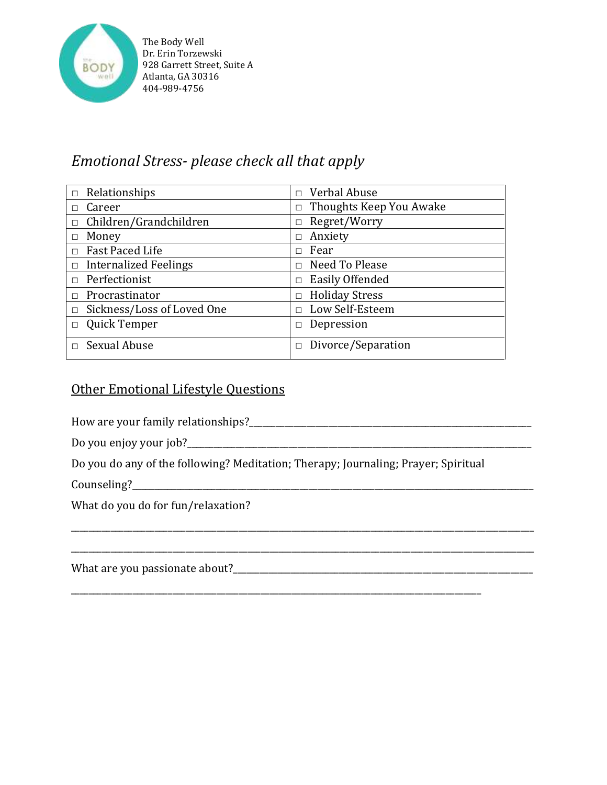

# *Emotional Stress- please check all that apply*

| $\Box$ Relationships         | $\Box$ Verbal Abuse       |
|------------------------------|---------------------------|
| Career                       | Thoughts Keep You Awake   |
| □                            | П                         |
| Children/Grandchildren       | Regret/Worry              |
| $\Box$                       | $\Box$                    |
| Money                        | Anxiety                   |
| □                            | П                         |
| Fast Paced Life              | Fear                      |
| П                            | П                         |
| $\Box$ Internalized Feelings | Need To Please<br>П       |
| $\Box$ Perfectionist         | Easily Offended<br>$\Box$ |
| Procrastinator               | <b>Holiday Stress</b>     |
| П                            | П                         |
| Sickness/Loss of Loved One   | Low Self-Esteem           |
| $\Box$                       | $\Box$                    |
| Quick Temper                 | Depression                |
| П                            | $\Box$                    |
| <b>Sexual Abuse</b>          | Divorce/Separation        |
| П                            | П                         |

#### Other Emotional Lifestyle Questions

How are your family relationships?\_\_\_\_\_\_\_\_\_\_\_\_\_\_\_\_\_\_\_\_\_\_\_\_\_\_\_\_\_\_\_\_\_\_\_\_\_\_\_\_\_\_\_\_\_\_\_\_\_\_\_\_\_\_\_\_\_\_\_\_\_\_\_\_

| Do you enjoy your job? |  |
|------------------------|--|
|                        |  |
|                        |  |
|                        |  |

Do you do any of the following? Meditation; Therapy; Journaling; Prayer; Spiritual

\_\_\_\_\_\_\_\_\_\_\_\_\_\_\_\_\_\_\_\_\_\_\_\_\_\_\_\_\_\_\_\_\_\_\_\_\_\_\_\_\_\_\_\_\_\_\_\_\_\_\_\_\_\_\_\_\_\_\_\_\_\_\_\_\_\_\_\_\_\_\_\_\_\_\_\_\_\_\_\_\_\_\_\_\_\_\_\_\_\_\_\_\_

\_\_\_\_\_\_\_\_\_\_\_\_\_\_\_\_\_\_\_\_\_\_\_\_\_\_\_\_\_\_\_\_\_\_\_\_\_\_\_\_\_\_\_\_\_\_\_\_\_\_\_\_\_\_\_\_\_\_\_\_\_\_\_\_\_\_\_\_\_\_\_\_\_\_\_\_\_\_\_\_\_\_\_\_\_\_\_\_\_\_\_\_\_\_\_\_\_\_\_\_\_\_\_\_\_

\_\_\_\_\_\_\_\_\_\_\_\_\_\_\_\_\_\_\_\_\_\_\_\_\_\_\_\_\_\_\_\_\_\_\_\_\_\_\_\_\_\_\_\_\_\_\_\_\_\_\_\_\_\_\_\_\_\_\_\_\_\_\_\_\_\_\_\_\_\_\_\_\_\_\_\_\_\_\_\_\_\_\_\_\_\_\_\_\_\_\_\_\_\_\_\_\_\_\_\_\_\_\_\_\_

Counseling?\_\_\_\_\_\_\_\_\_\_\_\_\_\_\_\_\_\_\_\_\_\_\_\_\_\_\_\_\_\_\_\_\_\_\_\_\_\_\_\_\_\_\_\_\_\_\_\_\_\_\_\_\_\_\_\_\_\_\_\_\_\_\_\_\_\_\_\_\_\_\_\_\_\_\_\_\_\_\_\_\_\_\_\_\_\_\_\_\_\_\_

What do you do for fun/relaxation?

What are you passionate about?\_\_\_\_\_\_\_\_\_\_\_\_\_\_\_\_\_\_\_\_\_\_\_\_\_\_\_\_\_\_\_\_\_\_\_\_\_\_\_\_\_\_\_\_\_\_\_\_\_\_\_\_\_\_\_\_\_\_\_\_\_\_\_\_\_\_\_\_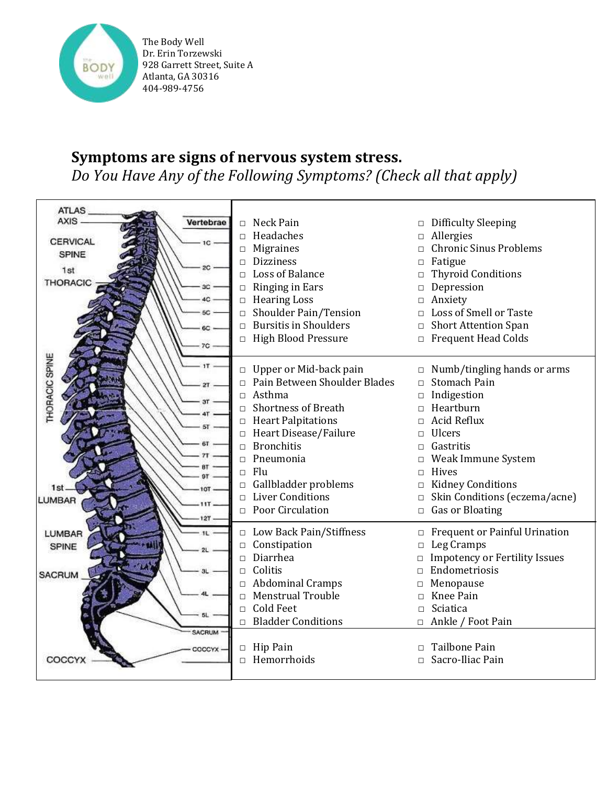

# **Symptoms are signs of nervous system stress.** *Do You Have Any of the Following Symptoms? (Check all that apply)*

| ATLAS_                      |                                                                 |                                                           |
|-----------------------------|-----------------------------------------------------------------|-----------------------------------------------------------|
| AXIS<br>Vertebrae           | Neck Pain<br>$\Box$                                             | <b>Difficulty Sleeping</b><br>$\Box$                      |
|                             | Headaches<br>$\Box$                                             | Allergies<br>$\Box$                                       |
| <b>CERVICAL</b>             | <b>Migraines</b><br>$\Box$                                      | <b>Chronic Sinus Problems</b>                             |
| SPINE                       | $\Box$ Dizziness                                                | Fatigue<br>$\Box$                                         |
| 20<br>1st                   | Loss of Balance<br>$\Box$                                       | <b>Thyroid Conditions</b><br>$\Box$                       |
| <b>THORACIC</b><br>3C       | Ringing in Ears<br>$\Box$                                       | Depression<br>$\Box$                                      |
| 4C                          | $\Box$ Hearing Loss                                             | Anxiety<br>$\Box$                                         |
| 5C                          | Shoulder Pain/Tension<br>$\Box$                                 | Loss of Smell or Taste<br>$\Box$                          |
| 6C                          | $\Box$ Bursitis in Shoulders                                    | <b>Short Attention Span</b><br>$\Box$                     |
|                             | □ High Blood Pressure                                           | $\Box$ Frequent Head Colds                                |
| 7C                          |                                                                 |                                                           |
| <b>THORACIC SPINE</b><br>1T |                                                                 |                                                           |
|                             | $\Box$ Upper or Mid-back pain<br>□ Pain Between Shoulder Blades | $\Box$ Numb/tingling hands or arms<br><b>Stomach Pain</b> |
|                             | Asthma<br>$\Box$                                                | $\Box$<br>Indigestion                                     |
| эτ                          | <b>Shortness of Breath</b><br>$\Box$                            | $\Box$<br>Heartburn<br>$\Box$                             |
|                             | $\Box$ Heart Palpitations                                       | <b>Acid Reflux</b><br>$\Box$                              |
| 51                          | □ Heart Disease/Failure                                         | Ulcers<br>$\Box$                                          |
|                             | $\Box$ Bronchitis                                               | Gastritis<br>$\Box$                                       |
|                             | Pneumonia<br>$\Box$                                             | Weak Immune System<br>$\Box$                              |
|                             | $\Box$ Flu                                                      | Hives<br>$\Box$                                           |
|                             | Gallbladder problems<br>$\Box$                                  | <b>Kidney Conditions</b><br>$\Box$                        |
| 1st.<br>10T                 | $\Box$ Liver Conditions                                         | Skin Conditions (eczema/acne)<br>$\Box$                   |
| LUMBAR                      | $\Box$ Poor Circulation                                         | Gas or Bloating<br>$\Box$                                 |
| 127                         |                                                                 |                                                           |
| LUMBAR<br>11                | $\Box$ Low Back Pain/Stiffness                                  | $\hfill \Box$<br>Frequent or Painful Urination            |
| SPINE                       | $\Box$ Constipation                                             | Leg Cramps<br>$\Box$                                      |
|                             | $\Box$ Diarrhea                                                 | <b>Impotency or Fertility Issues</b><br>$\Box$            |
| 3L<br>SACRUM                | $\Box$ Colitis                                                  | $\Box$ Endometriosis                                      |
|                             | $\Box$ Abdominal Cramps                                         | Menopause<br>$\Box$                                       |
|                             | <b>Menstrual Trouble</b><br>$\Box$                              | Knee Pain<br>$\Box$                                       |
|                             | Cold Feet<br>$\Box$                                             | Sciatica<br>$\Box$                                        |
|                             | $\Box$ Bladder Conditions                                       | $\Box$ Ankle / Foot Pain                                  |
| <b>SACRUM</b>               |                                                                 |                                                           |
| COCCYX                      | $\Box$ Hip Pain                                                 | Tailbone Pain<br>$\Box$                                   |
| COCCYX                      | $\Box$ Hemorrhoids                                              | Sacro-Iliac Pain<br>$\Box$                                |
|                             |                                                                 |                                                           |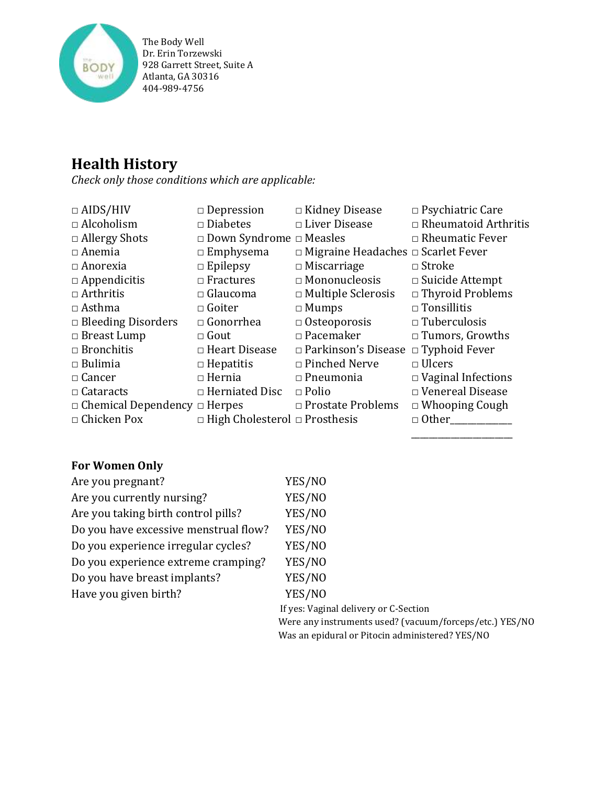

# **Health History**

*Check only those conditions which are applicable:*

| $\Box$ AIDS/HIV                          | $\Box$ Depression                         | $\Box$ Kidney Disease                           | $\Box$ Psychiatric Care     |
|------------------------------------------|-------------------------------------------|-------------------------------------------------|-----------------------------|
| $\Box$ Alcoholism                        | $\square$ Diabetes                        | $\Box$ Liver Disease                            | $\Box$ Rheumatoid Arthritis |
| $\Box$ Allergy Shots                     | $\Box$ Down Syndrome $\Box$ Measles       |                                                 | $\Box$ Rheumatic Fever      |
| $\Box$ Anemia                            | $\Box$ Emphysema                          | $\Box$ Migraine Headaches $\Box$ Scarlet Fever  |                             |
| $\Box$ Anorexia                          | $\Box$ Epilepsy                           | $\Box$ Miscarriage                              | $\Box$ Stroke               |
| $\Box$ Appendicitis                      | $\Box$ Fractures                          | $\Box$ Mononucleosis                            | $\Box$ Suicide Attempt      |
| $\Box$ Arthritis                         | $\Box$ Glaucoma                           | $\Box$ Multiple Sclerosis                       | $\Box$ Thyroid Problems     |
| $\Box$ Asthma                            | $\Box$ Goiter                             | $\Box$ Mumps                                    | $\Box$ Tonsillitis          |
| $\Box$ Bleeding Disorders                | $\Box$ Gonorrhea                          | $\Box$ Osteoporosis                             | $\Box$ Tuberculosis         |
| $\Box$ Breast Lump                       | $\Box$ Gout                               | $\Box$ Pacemaker                                | $\Box$ Tumors, Growths      |
| $\Box$ Bronchitis                        | $\Box$ Heart Disease                      | $\Box$ Parkinson's Disease $\Box$ Typhoid Fever |                             |
| $\Box$ Bulimia                           | $\Box$ Hepatitis                          | $\Box$ Pinched Nerve                            | $\Box$ Ulcers               |
| $\Box$ Cancer                            | $\Box$ Hernia                             | $\Box$ Pneumonia                                | $\Box$ Vaginal Infections   |
| $\Box$ Cataracts                         | $\Box$ Herniated Disc                     | $\Box$ Polio                                    | $\Box$ Venereal Disease     |
| $\Box$ Chemical Dependency $\Box$ Herpes |                                           | $\Box$ Prostate Problems                        | $\Box$ Whooping Cough       |
| $\Box$ Chicken Pox                       | $\Box$ High Cholesterol $\Box$ Prosthesis |                                                 | $\Box$ Other                |

### **For Women Only**

| Are you pregnant?                     | YES/NO                                                  |
|---------------------------------------|---------------------------------------------------------|
| Are you currently nursing?            | YES/NO                                                  |
| Are you taking birth control pills?   | YES/NO                                                  |
| Do you have excessive menstrual flow? | YES/NO                                                  |
| Do you experience irregular cycles?   | YES/NO                                                  |
| Do you experience extreme cramping?   | YES/NO                                                  |
| Do you have breast implants?          | YES/NO                                                  |
| Have you given birth?                 | YES/NO                                                  |
|                                       | If yes: Vaginal delivery or C-Section                   |
|                                       | Were any instruments used? (vacuum/forceps/etc.) YES/NO |

Was an epidural or Pitocin administered? YES/NO

\_\_\_\_\_\_\_\_\_\_\_\_\_\_\_\_\_\_\_\_\_\_\_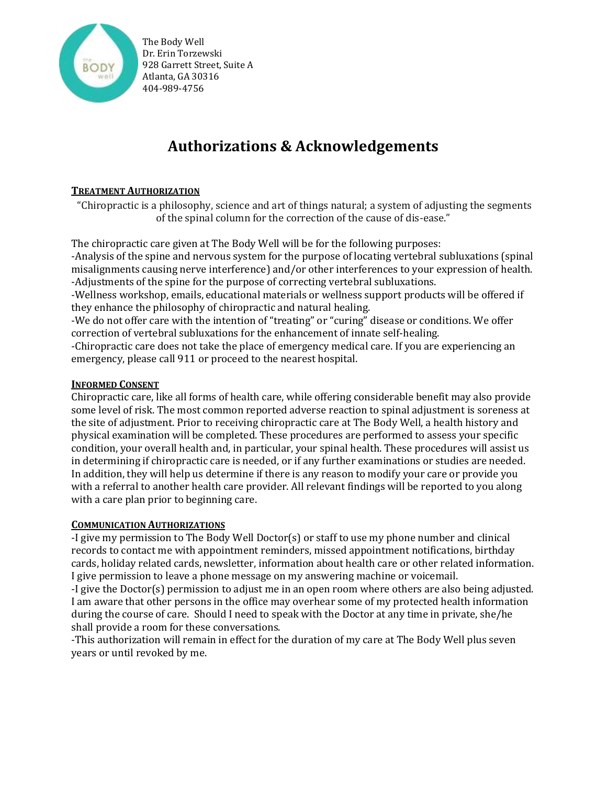

# **Authorizations & Acknowledgements**

#### **TREATMENT AUTHORIZATION**

"Chiropractic is a philosophy, science and art of things natural; a system of adjusting the segments of the spinal column for the correction of the cause of dis-ease."

The chiropractic care given at The Body Well will be for the following purposes:

-Analysis of the spine and nervous system for the purpose of locating vertebral subluxations (spinal misalignments causing nerve interference) and/or other interferences to your expression of health. -Adjustments of the spine for the purpose of correcting vertebral subluxations.

-Wellness workshop, emails, educational materials or wellness support products will be offered if they enhance the philosophy of chiropractic and natural healing.

-We do not offer care with the intention of "treating" or "curing" disease or conditions. We offer correction of vertebral subluxations for the enhancement of innate self-healing.

-Chiropractic care does not take the place of emergency medical care. If you are experiencing an emergency, please call 911 or proceed to the nearest hospital.

#### **INFORMED CONSENT**

Chiropractic care, like all forms of health care, while offering considerable benefit may also provide some level of risk. The most common reported adverse reaction to spinal adjustment is soreness at the site of adjustment. Prior to receiving chiropractic care at The Body Well, a health history and physical examination will be completed. These procedures are performed to assess your specific condition, your overall health and, in particular, your spinal health. These procedures will assist us in determining if chiropractic care is needed, or if any further examinations or studies are needed. In addition, they will help us determine if there is any reason to modify your care or provide you with a referral to another health care provider. All relevant findings will be reported to you along with a care plan prior to beginning care.

#### **COMMUNICATION AUTHORIZATIONS**

-I give my permission to The Body Well Doctor(s) or staff to use my phone number and clinical records to contact me with appointment reminders, missed appointment notifications, birthday cards, holiday related cards, newsletter, information about health care or other related information. I give permission to leave a phone message on my answering machine or voicemail.

-I give the Doctor(s) permission to adjust me in an open room where others are also being adjusted. I am aware that other persons in the office may overhear some of my protected health information during the course of care. Should I need to speak with the Doctor at any time in private, she/he shall provide a room for these conversations.

-This authorization will remain in effect for the duration of my care at The Body Well plus seven years or until revoked by me.